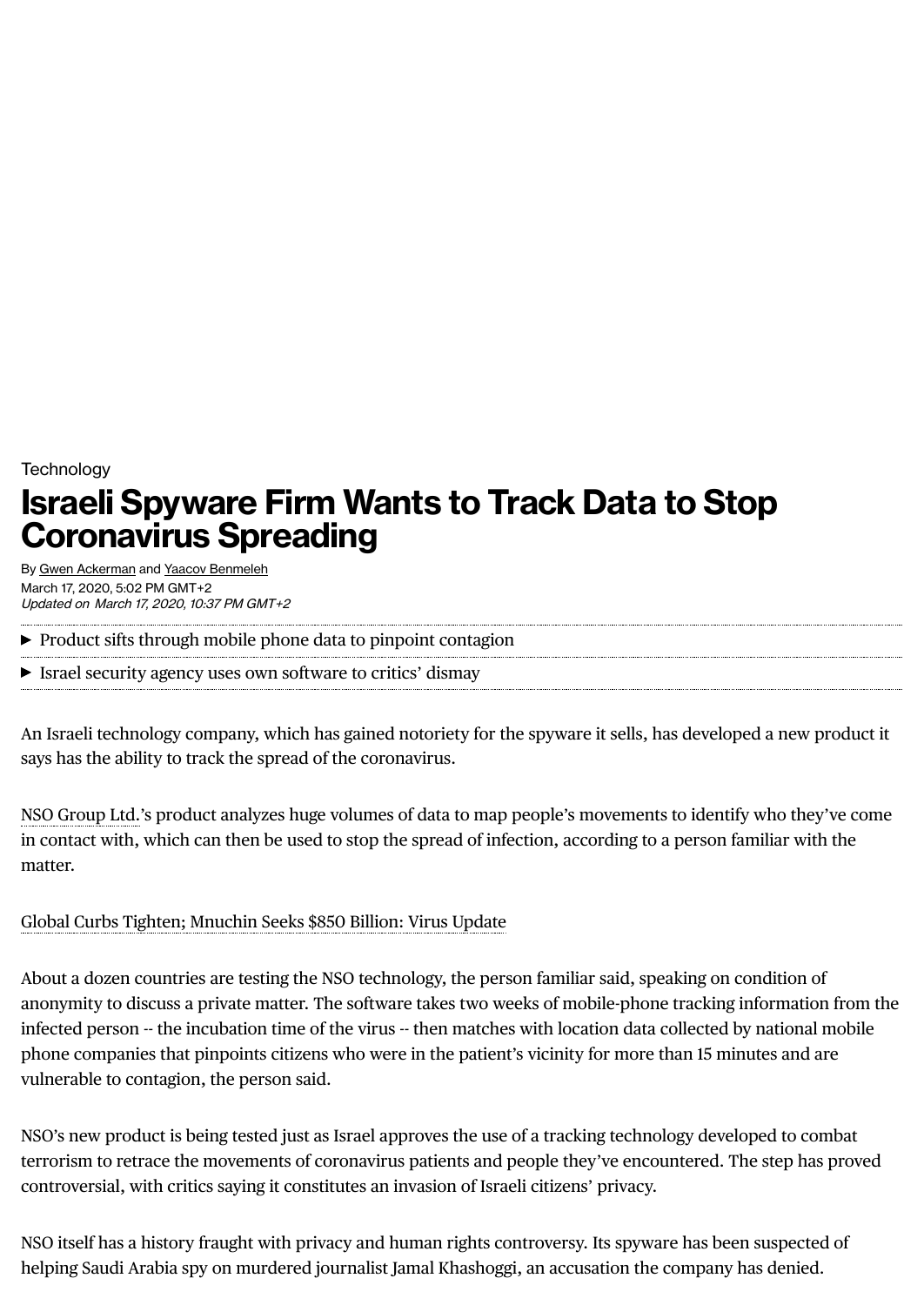# **Technology Israeli Spyware Firm Wants to Track Data to Stop Coronavirus Spreading**

By Gwen [Ackerman](https://www.bloomberg.com/authors/AGeAeaCeqHQ/gwen-ackerman) and Yaacov [Benmeleh](https://www.bloomberg.com/authors/AR-43AGEIRU/yaacov-benmeleh) March 17, 2020, 5:02 PM GMT+2 Updated on March 17, 2020, 10:37 PM GMT+2

 $\blacktriangleright$  Product sifts through mobile phone data to pinpoint contagion

#### Israel security agency uses own software to critics' dismay

An Israeli technology company, which has gained notoriety for the spyware it sells, has developed a new product it says has the ability to track the spread of the coronavirus.

NSO [Group](https://www.bloomberg.com/quote/1339813D:IT) Ltd.'s product analyzes huge volumes of data to map people's movements to identify who they've come in contact with, which can then be used to stop the spread of infection, according to a person familiar with the matter.

#### Global Curbs Tighten; [Mnuchin](https://www.bloomberg.com/news/articles/2020-03-16/global-deaths-top-7-000-san-francisco-shuts-down-virus-update) Seeks \$850 Billion: Virus Update

About a dozen countries are testing the NSO technology, the person familiar said, speaking on condition of anonymity to discuss a private matter. The software takes two weeks of mobile-phone tracking information from the infected person -- the incubation time of the virus -- then matches with location data collected by national mobile phone companies that pinpoints citizens who were in the patient's vicinity for more than 15 minutes and are vulnerable to contagion, the person said.

NSO's new product is being tested just as Israel approves the use of a tracking technology developed to combat terrorism to retrace the movements of coronavirus patients and people they've encountered. The step has proved controversial, with critics saying it constitutes an invasion of Israeli citizens' privacy.

NSO itself has a history fraught with privacy and human rights controversy. Its spyware has been suspected of helping Saudi Arabia spy on murdered journalist Jamal Khashoggi, an accusation the company has denied.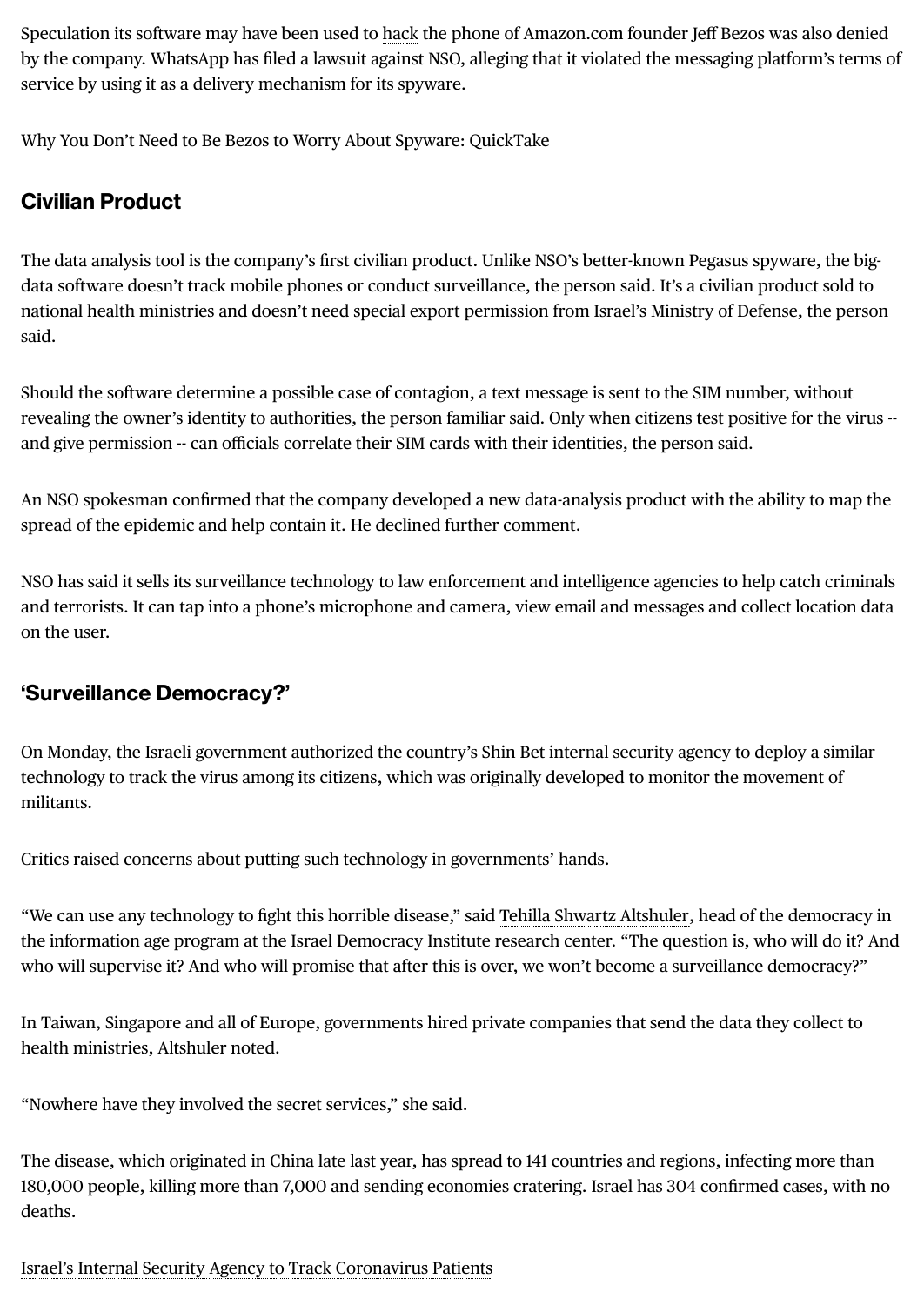Speculation its software may have been used to [hack](https://www.bloomberg.com/news/articles/2020-01-22/un-experts-call-for-probe-into-allegations-of-bezos-phone-hack) the phone of Amazon.com founder Jeff Bezos was also denied by the company. WhatsApp has filed a lawsuit against NSO, alleging that it violated the messaging platform's terms of service by using it as a delivery mechanism for its spyware.

Why You Don't Need to Be Bezos to Worry About Spyware: [QuickTake](https://www.bloomberg.com/news/articles/2020-02-02/why-you-don-t-need-to-be-bezos-to-worry-about-spyware-quicktake)

## **Civilian Product**

The data analysis tool is the company's first civilian product. Unlike NSO's better-known Pegasus spyware, the bigdata software doesn't track mobile phones or conduct surveillance, the person said. It's a civilian product sold to national health ministries and doesn't need special export permission from Israel's Ministry of Defense, the person said.

Should the software determine a possible case of contagion, a text message is sent to the SIM number, without revealing the owner's identity to authorities, the person familiar said. Only when citizens test positive for the virus - and give permission -- can officials correlate their SIM cards with their identities, the person said.

An NSO spokesman confirmed that the company developed a new data-analysis product with the ability to map the spread of the epidemic and help contain it. He declined further comment.

NSO has said it sells its surveillance technoloy to law enforcement and intelligence agencies to help catch criminals and terrorists. It can tap into a phone's microphone and camera, view email and messages and collect location data on the user.

### **'Surveillance Democracy?'**

On Monday, the Israeli government authorized the country's Shin Bet internal security agency to deploy a similar technology to track the virus among its citizens, which was originally developed to monitor the movement of militants.

Critics raised concerns about putting such technology in governments' hands.

"We can use any technoloy to fight this horrible disease," said Tehilla Shwartz [Altshuler](https://en.idi.org.il/experts/1363), head of the democracy in the information age program at the Israel Democracy Institute research center. "The question is, who will do it? And who will supervise it? And who will promise that after this is over, we won't become a surveillance democracy?"

In Taiwan, Singapore and all of Europe, governments hired private companies that send the data they collect to health ministries, Altshuler noted.

"Nowhere have they involved the secret services," she said.

The disease, which originated in China late last year, has spread to 141 countries and regions, infecting more than 180,000 people, killing more than 7,000 and sending economies cratering. Israel has 304 confirmed cases, with no deaths.

Israel's Internal Security Agency to Track [Coronavirus](https://www.bloomberg.com/news/articles/2020-03-17/israel-approves-30-day-tech-tracking-of-coronavirus-carriers) Patients